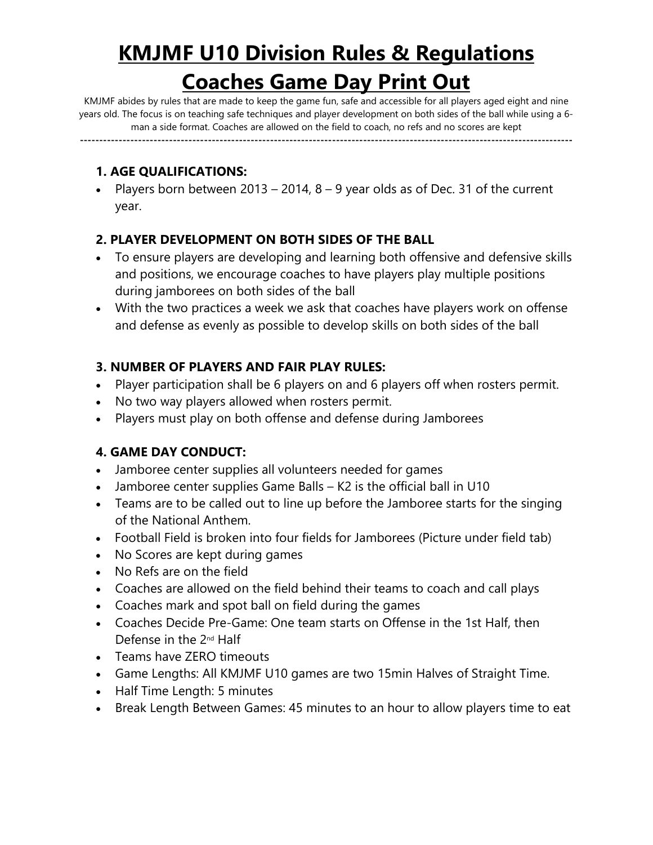# **KMJMF U10 Division Rules & Regulations Coaches Game Day Print Out**

KMJMF abides by rules that are made to keep the game fun, safe and accessible for all players aged eight and nine years old. The focus is on teaching safe techniques and player development on both sides of the ball while using a 6 man a side format. Coaches are allowed on the field to coach, no refs and no scores are kept

**-------------------------------------------------------------------------------------------------------------------------------**

# **1. AGE QUALIFICATIONS:**

Players born between 2013 – 2014,  $8 - 9$  year olds as of Dec. 31 of the current year.

# **2. PLAYER DEVELOPMENT ON BOTH SIDES OF THE BALL**

- To ensure players are developing and learning both offensive and defensive skills and positions, we encourage coaches to have players play multiple positions during jamborees on both sides of the ball
- With the two practices a week we ask that coaches have players work on offense and defense as evenly as possible to develop skills on both sides of the ball

# **3. NUMBER OF PLAYERS AND FAIR PLAY RULES:**

- Player participation shall be 6 players on and 6 players off when rosters permit.
- No two way players allowed when rosters permit.
- Players must play on both offense and defense during Jamborees

# **4. GAME DAY CONDUCT:**

- Jamboree center supplies all volunteers needed for games
- Jamboree center supplies Game Balls K2 is the official ball in U10
- Teams are to be called out to line up before the Jamboree starts for the singing of the National Anthem.
- Football Field is broken into four fields for Jamborees (Picture under field tab)
- No Scores are kept during games
- No Refs are on the field
- Coaches are allowed on the field behind their teams to coach and call plays
- Coaches mark and spot ball on field during the games
- Coaches Decide Pre-Game: One team starts on Offense in the 1st Half, then Defense in the 2nd Half
- Teams have ZERO timeouts
- Game Lengths: All KMJMF U10 games are two 15min Halves of Straight Time.
- Half Time Length: 5 minutes
- Break Length Between Games: 45 minutes to an hour to allow players time to eat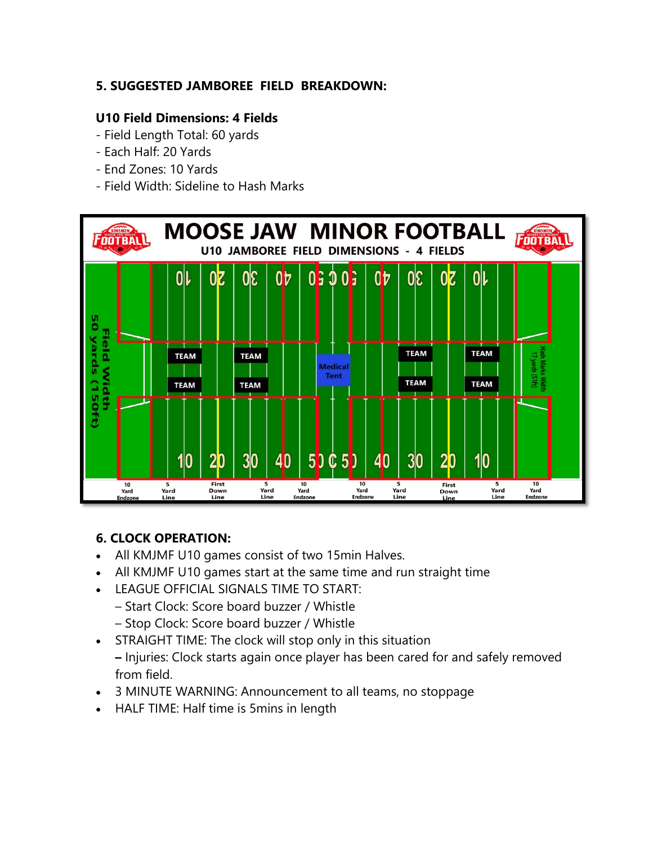# **5. SUGGESTED JAMBOREE FIELD BREAKDOWN:**

#### **U10 Field Dimensions: 4 Fields**

- Field Length Total: 60 yards
- Each Half: 20 Yards
- End Zones: 10 Yards
- Field Width: Sideline to Hash Marks



# **6. CLOCK OPERATION:**

- All KMJMF U10 games consist of two 15min Halves.
- All KMJMF U10 games start at the same time and run straight time
- LEAGUE OFFICIAL SIGNALS TIME TO START:
	- Start Clock: Score board buzzer / Whistle
	- Stop Clock: Score board buzzer / Whistle
- STRAIGHT TIME: The clock will stop only in this situation **–** Injuries: Clock starts again once player has been cared for and safely removed
	- from field.
- 3 MINUTE WARNING: Announcement to all teams, no stoppage
- HALF TIME: Half time is 5mins in length